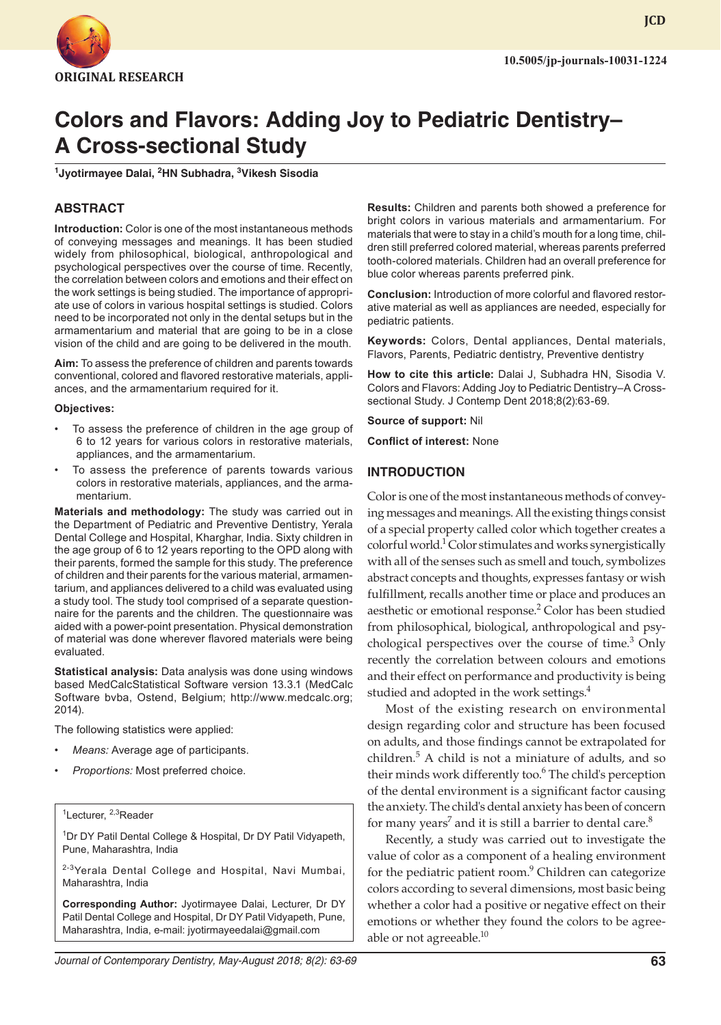

**JCD**

# **Colors and Flavors: Adding Joy to Pediatric Dentistry– A Cross-sectional Study**

**1 Jyotirmayee Dalai, <sup>2</sup> HN Subhadra, 3 Vikesh Sisodia**

### **ABSTRACT**

**Introduction:** Color is one of the most instantaneous methods of conveying messages and meanings. It has been studied widely from philosophical, biological, anthropological and psychological perspectives over the course of time. Recently, the correlation between colors and emotions and their effect on the work settings is being studied. The importance of appropriate use of colors in various hospital settings is studied. Colors need to be incorporated not only in the dental setups but in the armamentarium and material that are going to be in a close vision of the child and are going to be delivered in the mouth.

**Aim:** To assess the preference of children and parents towards conventional, colored and flavored restorative materials, appliances, and the armamentarium required for it.

#### **Objectives:**

- To assess the preference of children in the age group of 6 to 12 years for various colors in restorative materials, appliances, and the armamentarium.
- To assess the preference of parents towards various colors in restorative materials, appliances, and the armamentarium.

**Materials and methodology:** The study was carried out in the Department of Pediatric and Preventive Dentistry, Yerala Dental College and Hospital, Kharghar, India. Sixty children in the age group of 6 to 12 years reporting to the OPD along with their parents, formed the sample for this study. The preference of children and their parents for the various material, armamentarium, and appliances delivered to a child was evaluated using a study tool. The study tool comprised of a separate questionnaire for the parents and the children. The questionnaire was aided with a power-point presentation. Physical demonstration of material was done wherever flavored materials were being evaluated.

**Statistical analysis:** Data analysis was done using windows based MedCalcStatistical Software version 13.3.1 (MedCalc Software bvba, Ostend, Belgium; http://www.medcalc.org; 2014).

The following statistics were applied:

- *Means:* Average age of participants.
- *Proportions:* Most preferred choice.

<sup>1</sup>Lecturer, <sup>2,3</sup>Reader

<sup>1</sup>Dr DY Patil Dental College & Hospital, Dr DY Patil Vidyapeth, Pune, Maharashtra, India

<sup>2-3</sup>Yerala Dental College and Hospital, Navi Mumbai, Maharashtra, India

**Corresponding Author:** Jyotirmayee Dalai, Lecturer, Dr DY Patil Dental College and Hospital, Dr DY Patil Vidyapeth, Pune, Maharashtra, India, e-mail: jyotirmayeedalai@gmail.com

**Results:** Children and parents both showed a preference for bright colors in various materials and armamentarium. For materials that were to stay in a child's mouth for a long time, children still preferred colored material, whereas parents preferred tooth-colored materials. Children had an overall preference for blue color whereas parents preferred pink.

**Conclusion:** Introduction of more colorful and flavored restorative material as well as appliances are needed, especially for pediatric patients.

**Keywords:** Colors, Dental appliances, Dental materials, Flavors, Parents, Pediatric dentistry, Preventive dentistry

**How to cite this article:** Dalai J, Subhadra HN, Sisodia V. Colors and Flavors: Adding Joy to Pediatric Dentistry–A Crosssectional Study. J Contemp Dent 2018;8(2):63-69.

**Source of support:** Nil

**Conflict of interest:** None

#### **INTRODUCTION**

Color is one of the most instantaneous methods of conveying messages and meanings. All the existing things consist of a special property called color which together creates a colorful world.1 Color stimulates and works synergistically with all of the senses such as smell and touch, symbolizes abstract concepts and thoughts, expresses fantasy or wish fulfillment, recalls another time or place and produces an aesthetic or emotional response.<sup>2</sup> Color has been studied from philosophical, biological, anthropological and psychological perspectives over the course of time.<sup>3</sup> Only recently the correlation between colours and emotions and their effect on performance and productivity is being studied and adopted in the work settings.<sup>4</sup>

Most of the existing research on environmental design regarding color and structure has been focused on adults, and those findings cannot be extrapolated for children.<sup>5</sup> A child is not a miniature of adults, and so their minds work differently too.<sup>6</sup> The child's perception of the dental environment is a significant factor causing the anxiety. The child's dental anxiety has been of concern for many years<sup>7</sup> and it is still a barrier to dental care.<sup>8</sup>

Recently, a study was carried out to investigate the value of color as a component of a healing environment for the pediatric patient room.<sup>9</sup> Children can categorize colors according to several dimensions, most basic being whether a color had a positive or negative effect on their emotions or whether they found the colors to be agreeable or not agreeable.<sup>10</sup>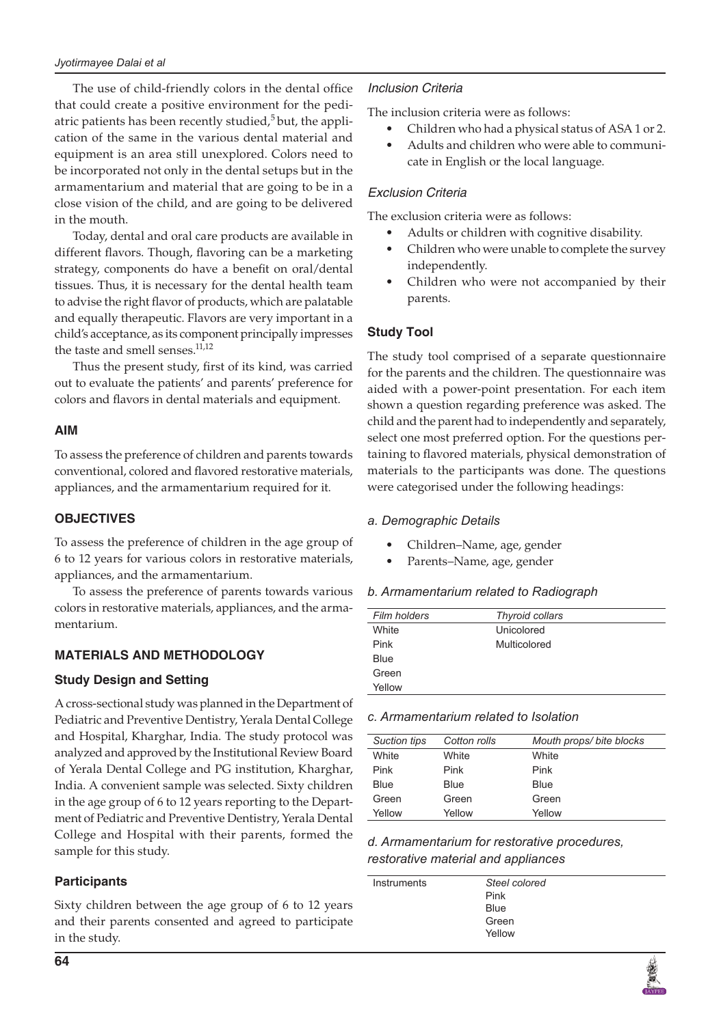The use of child-friendly colors in the dental office that could create a positive environment for the pediatric patients has been recently studied, $5$  but, the application of the same in the various dental material and equipment is an area still unexplored. Colors need to be incorporated not only in the dental setups but in the armamentarium and material that are going to be in a close vision of the child, and are going to be delivered in the mouth.

Today, dental and oral care products are available in different flavors. Though, flavoring can be a marketing strategy, components do have a benefit on oral/dental tissues. Thus, it is necessary for the dental health team to advise the right flavor of products, which are palatable and equally therapeutic. Flavors are very important in a child's acceptance, as its component principally impresses the taste and smell senses.<sup>11,12</sup>

Thus the present study, first of its kind, was carried out to evaluate the patients' and parents' preference for colors and flavors in dental materials and equipment.

### **AIM**

To assess the preference of children and parents towards conventional, colored and flavored restorative materials, appliances, and the armamentarium required for it.

### **OBJECTIVES**

To assess the preference of children in the age group of 6 to 12 years for various colors in restorative materials, appliances, and the armamentarium.

To assess the preference of parents towards various colors in restorative materials, appliances, and the armamentarium.

## **MATERIALS AND METHODOLOGY**

## **Study Design and Setting**

A cross-sectional study was planned in the Department of Pediatric and Preventive Dentistry, Yerala Dental College and Hospital, Kharghar, India. The study protocol was analyzed and approved by the Institutional Review Board of Yerala Dental College and PG institution, Kharghar, India. A convenient sample was selected. Sixty children in the age group of 6 to 12 years reporting to the Department of Pediatric and Preventive Dentistry, Yerala Dental College and Hospital with their parents, formed the sample for this study.

## **Participants**

Sixty children between the age group of 6 to 12 years and their parents consented and agreed to participate in the study.

## *Inclusion Criteria*

The inclusion criteria were as follows:

- Children who had a physical status of ASA 1 or 2.
- Adults and children who were able to communicate in English or the local language.

### *Exclusion Criteria*

The exclusion criteria were as follows:

- Adults or children with cognitive disability.
- Children who were unable to complete the survey independently.
- Children who were not accompanied by their parents.

## **Study Tool**

The study tool comprised of a separate questionnaire for the parents and the children. The questionnaire was aided with a power-point presentation. For each item shown a question regarding preference was asked. The child and the parent had to independently and separately, select one most preferred option. For the questions pertaining to flavored materials, physical demonstration of materials to the participants was done. The questions were categorised under the following headings:

## *a. Demographic Details*

- Children-Name, age, gender
- Parents–Name, age, gender

#### *b. Armamentarium related to Radiograph*

| Film holders | Thyroid collars |
|--------------|-----------------|
| White        | Unicolored      |
| Pink         | Multicolored    |
| Blue         |                 |
| Green        |                 |
| Yellow       |                 |

#### *c. Armamentarium related to Isolation*

| <b>Suction tips</b> | Cotton rolls | Mouth props/bite blocks |
|---------------------|--------------|-------------------------|
| White               | White        | White                   |
| Pink                | Pink         | Pink                    |
| Blue                | Blue         | Blue                    |
| Green               | Green        | Green                   |
| Yellow              | Yellow       | Yellow                  |
|                     |              |                         |

## *d. Armamentarium for restorative procedures, restorative material and appliances*

| Instruments | Steel colored |  |
|-------------|---------------|--|
|             | Pink          |  |
|             | <b>Blue</b>   |  |
|             | Green         |  |
|             | Yellow        |  |
|             |               |  |

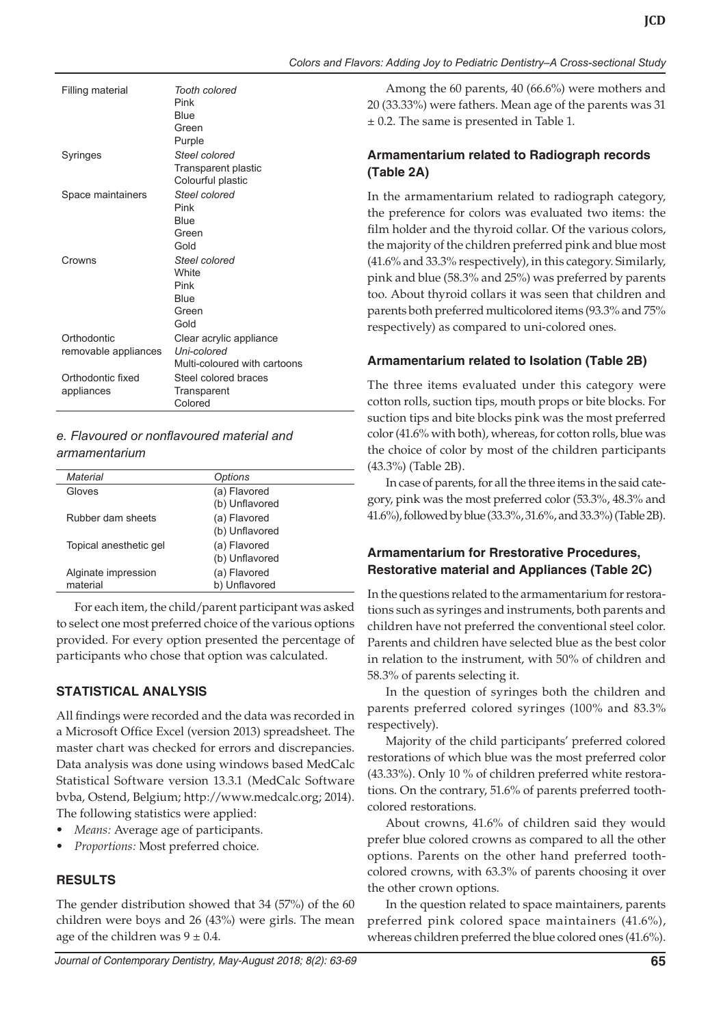| Colors and Flavors: Adding Joy to Pediatric Dentistry-A Cross-sectional Study |  |  |  |
|-------------------------------------------------------------------------------|--|--|--|

| Filling material                    | Tooth colored<br>Pink<br>Blue<br>Green<br>Purple                       |
|-------------------------------------|------------------------------------------------------------------------|
| Syringes                            | Steel colored<br>Transparent plastic<br>Colourful plastic              |
| Space maintainers                   | Steel colored<br>Pink<br>Blue<br>Green<br>Gold                         |
| Crowns                              | Steel colored<br><b>White</b><br>Pink<br>Blue<br>Green<br>Gold         |
| Orthodontic<br>removable appliances | Clear acrylic appliance<br>Uni-colored<br>Multi-coloured with cartoons |
| Orthodontic fixed<br>appliances     | Steel colored braces<br>Transparent<br>Colored                         |

## *e. Flavoured or nonflavoured material and armamentarium*

| Material               | Options        |
|------------------------|----------------|
| Gloves                 | (a) Flavored   |
|                        | (b) Unflavored |
| Rubber dam sheets      | (a) Flavored   |
|                        | (b) Unflavored |
| Topical anesthetic gel | (a) Flavored   |
|                        | (b) Unflavored |
| Alginate impression    | (a) Flavored   |
| material               | b) Unflavored  |
|                        |                |

For each item, the child/parent participant was asked to select one most preferred choice of the various options provided. For every option presented the percentage of participants who chose that option was calculated.

## **STATISTICAL ANALYSIS**

All findings were recorded and the data was recorded in a Microsoft Office Excel (version 2013) spreadsheet. The master chart was checked for errors and discrepancies. Data analysis was done using windows based MedCalc Statistical Software version 13.3.1 (MedCalc Software bvba, Ostend, Belgium; http://www.medcalc.org; 2014). The following statistics were applied:

- *Means:* Average age of participants.
- *Proportions:* Most preferred choice.

## **RESULTS**

The gender distribution showed that 34 (57%) of the 60 children were boys and 26 (43%) were girls. The mean age of the children was  $9 \pm 0.4$ .

## **Armamentarium related to Radiograph records (Table 2A)**

Among the 60 parents, 40 (66.6%) were mothers and 20 (33.33%) were fathers. Mean age of the parents was 31

In the armamentarium related to radiograph category, the preference for colors was evaluated two items: the film holder and the thyroid collar. Of the various colors, the majority of the children preferred pink and blue most (41.6% and 33.3% respectively), in this category. Similarly, pink and blue (58.3% and 25%) was preferred by parents too. About thyroid collars it was seen that children and parents both preferred multicolored items (93.3% and 75% respectively) as compared to uni-colored ones.

## **Armamentarium related to Isolation (Table 2B)**

The three items evaluated under this category were cotton rolls, suction tips, mouth props or bite blocks. For suction tips and bite blocks pink was the most preferred color (41.6% with both), whereas, for cotton rolls, blue was the choice of color by most of the children participants (43.3%) (Table 2B).

In case of parents, for all the three items in the said category, pink was the most preferred color (53.3%, 48.3% and 41.6%), followed by blue (33.3%, 31.6%, and 33.3%) (Table 2B).

## **Armamentarium for Rrestorative Procedures, Restorative material and Appliances (Table 2C)**

In the questions related to the armamentarium for restorations such as syringes and instruments, both parents and children have not preferred the conventional steel color. Parents and children have selected blue as the best color in relation to the instrument, with 50% of children and 58.3% of parents selecting it.

In the question of syringes both the children and parents preferred colored syringes (100% and 83.3% respectively).

Majority of the child participants' preferred colored restorations of which blue was the most preferred color (43.33%). Only 10 % of children preferred white restorations. On the contrary, 51.6% of parents preferred toothcolored restorations.

About crowns, 41.6% of children said they would prefer blue colored crowns as compared to all the other options. Parents on the other hand preferred toothcolored crowns, with 63.3% of parents choosing it over the other crown options.

In the question related to space maintainers, parents preferred pink colored space maintainers (41.6%), whereas children preferred the blue colored ones (41.6%).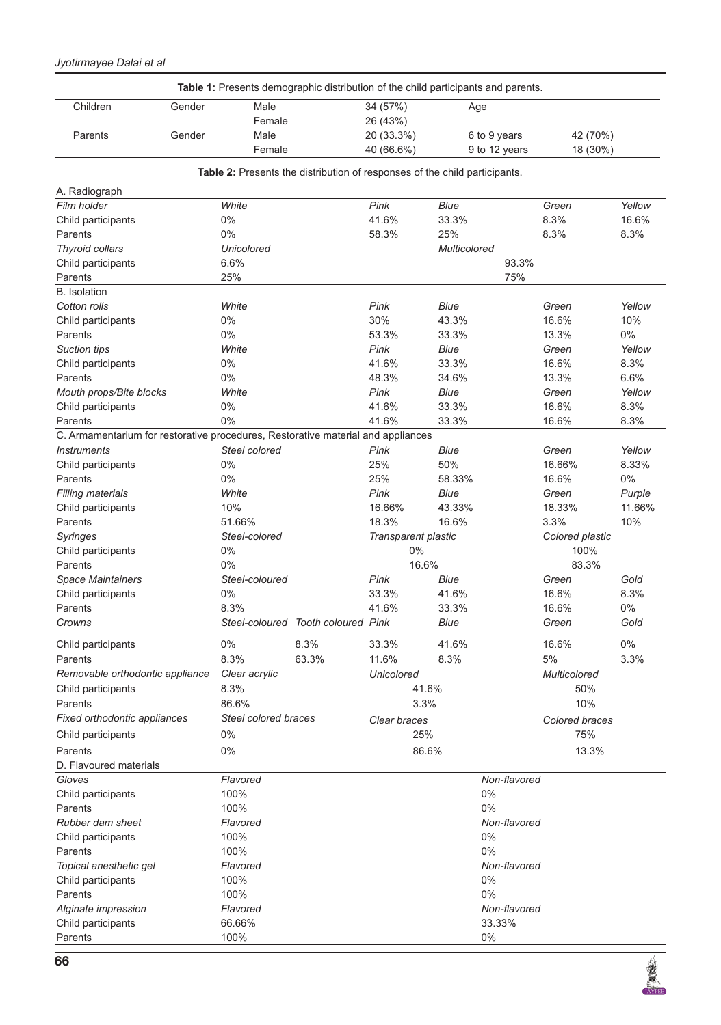#### *Jyotirmayee Dalai et al*

|                                                                                                        |        | Table 1: Presents demographic distribution of the child participants and parents. |                                    |                     |              |               |                     |        |
|--------------------------------------------------------------------------------------------------------|--------|-----------------------------------------------------------------------------------|------------------------------------|---------------------|--------------|---------------|---------------------|--------|
| Children                                                                                               | Gender | Male                                                                              |                                    | 34 (57%)            | Age          |               |                     |        |
|                                                                                                        |        | Female                                                                            |                                    | 26 (43%)            |              |               |                     |        |
| Parents                                                                                                | Gender | Male                                                                              |                                    | 20 (33.3%)          |              | 6 to 9 years  | 42 (70%)            |        |
|                                                                                                        |        | Female                                                                            |                                    | 40 (66.6%)          |              | 9 to 12 years | 18 (30%)            |        |
|                                                                                                        |        | Table 2: Presents the distribution of responses of the child participants.        |                                    |                     |              |               |                     |        |
| A. Radiograph                                                                                          |        |                                                                                   |                                    |                     |              |               |                     |        |
| Film holder                                                                                            |        | White                                                                             |                                    | Pink                | <b>Blue</b>  |               | Green               | Yellow |
| Child participants                                                                                     |        | $0\%$                                                                             |                                    | 41.6%               | 33.3%        |               | 8.3%                | 16.6%  |
| Parents                                                                                                |        | $0\%$                                                                             |                                    | 58.3%               | 25%          |               | 8.3%                | 8.3%   |
| Thyroid collars                                                                                        |        | <b>Unicolored</b>                                                                 |                                    |                     | Multicolored |               |                     |        |
| Child participants                                                                                     |        | 6.6%                                                                              |                                    |                     |              | 93.3%         |                     |        |
| Parents                                                                                                |        | 25%                                                                               |                                    |                     |              | 75%           |                     |        |
| <b>B.</b> Isolation                                                                                    |        |                                                                                   |                                    |                     |              |               |                     |        |
| Cotton rolls                                                                                           |        | White                                                                             |                                    | Pink                | <b>Blue</b>  |               | Green               | Yellow |
| Child participants                                                                                     |        | $0\%$                                                                             |                                    | 30%                 | 43.3%        |               | 16.6%               | 10%    |
| Parents                                                                                                |        | $0\%$                                                                             |                                    | 53.3%               | 33.3%        |               | 13.3%               | $0\%$  |
| Suction tips                                                                                           |        | White                                                                             |                                    | Pink                | Blue         |               | Green               | Yellow |
| Child participants                                                                                     |        | 0%                                                                                |                                    | 41.6%               | 33.3%        |               | 16.6%               | 8.3%   |
| Parents                                                                                                |        | $0\%$                                                                             |                                    | 48.3%               | 34.6%        |               | 13.3%               | 6.6%   |
| Mouth props/Bite blocks                                                                                |        | White                                                                             |                                    | Pink                | Blue         |               | Green               | Yellow |
| Child participants                                                                                     |        | 0%                                                                                |                                    | 41.6%               | 33.3%        |               | 16.6%               | 8.3%   |
| Parents                                                                                                |        | 0%                                                                                |                                    | 41.6%               | 33.3%        |               | 16.6%               | 8.3%   |
| C. Armamentarium for restorative procedures, Restorative material and appliances<br><b>Instruments</b> |        | Steel colored                                                                     |                                    | Pink                | <b>Blue</b>  |               | Green               | Yellow |
| Child participants                                                                                     |        | 0%                                                                                |                                    | 25%                 | 50%          |               | 16.66%              | 8.33%  |
| Parents                                                                                                |        | 0%                                                                                |                                    | 25%                 | 58.33%       |               | 16.6%               | $0\%$  |
| <b>Filling materials</b>                                                                               |        | White                                                                             |                                    | Pink                | <b>Blue</b>  |               | Green               | Purple |
| Child participants                                                                                     |        | 10%                                                                               |                                    | 16.66%              | 43.33%       |               | 18.33%              | 11.66% |
| Parents                                                                                                |        | 51.66%                                                                            |                                    | 18.3%               | 16.6%        |               | 3.3%                | 10%    |
| Syringes                                                                                               |        | Steel-colored                                                                     |                                    | Transparent plastic |              |               | Colored plastic     |        |
| Child participants                                                                                     |        | $0\%$                                                                             |                                    | $0\%$               |              |               | 100%                |        |
| Parents                                                                                                |        | $0\%$                                                                             |                                    |                     | 16.6%        |               | 83.3%               |        |
| <b>Space Maintainers</b>                                                                               |        | Steel-coloured                                                                    |                                    | Pink                | Blue         |               | Green               | Gold   |
| Child participants                                                                                     |        | 0%                                                                                |                                    | 33.3%               | 41.6%        |               | 16.6%               | 8.3%   |
| Parents                                                                                                |        | 8.3%                                                                              |                                    | 41.6%               | 33.3%        |               | 16.6%               | $0\%$  |
| Crowns                                                                                                 |        |                                                                                   | Steel-coloured Tooth coloured Pink |                     | Blue         |               | Green               | Gold   |
| Child participants                                                                                     |        | $0\%$                                                                             | 8.3%                               | 33.3%               | 41.6%        |               | 16.6%               | $0\%$  |
| Parents                                                                                                |        | 8.3%                                                                              | 63.3%                              | 11.6%               | 8.3%         |               | 5%                  | 3.3%   |
| Removable orthodontic appliance                                                                        |        | Clear acrylic                                                                     |                                    | Unicolored          |              |               | <b>Multicolored</b> |        |
| Child participants                                                                                     |        | 8.3%                                                                              |                                    |                     | 41.6%        |               | 50%                 |        |
| Parents                                                                                                |        | 86.6%                                                                             |                                    |                     | 3.3%         |               | 10%                 |        |
| Fixed orthodontic appliances                                                                           |        | <b>Steel colored braces</b>                                                       |                                    | Clear braces        |              |               | Colored braces      |        |
| Child participants                                                                                     |        | 0%                                                                                |                                    |                     | 25%          |               | 75%                 |        |
| Parents                                                                                                |        | $0\%$                                                                             |                                    |                     | 86.6%        |               | 13.3%               |        |
| D. Flavoured materials                                                                                 |        |                                                                                   |                                    |                     |              |               |                     |        |
| Gloves                                                                                                 |        | Flavored                                                                          |                                    |                     |              | Non-flavored  |                     |        |
| Child participants                                                                                     |        | 100%                                                                              |                                    |                     |              | $0\%$         |                     |        |
| Parents                                                                                                |        | 100%                                                                              |                                    |                     |              | 0%            |                     |        |
| Rubber dam sheet                                                                                       |        | Flavored                                                                          |                                    |                     |              | Non-flavored  |                     |        |
| Child participants                                                                                     |        | 100%                                                                              |                                    |                     |              | $0\%$         |                     |        |
| Parents                                                                                                |        | 100%                                                                              |                                    |                     |              | 0%            |                     |        |
| Topical anesthetic gel                                                                                 |        | Flavored                                                                          |                                    |                     |              | Non-flavored  |                     |        |
| Child participants                                                                                     |        | 100%                                                                              |                                    |                     |              | 0%            |                     |        |
| Parents                                                                                                |        | 100%                                                                              |                                    |                     |              | 0%            |                     |        |
| Alginate impression                                                                                    |        | Flavored                                                                          |                                    |                     |              | Non-flavored  |                     |        |
| Child participants                                                                                     |        | 66.66%                                                                            |                                    |                     |              | 33.33%        |                     |        |
| Parents                                                                                                |        | 100%                                                                              |                                    |                     |              | 0%            |                     |        |



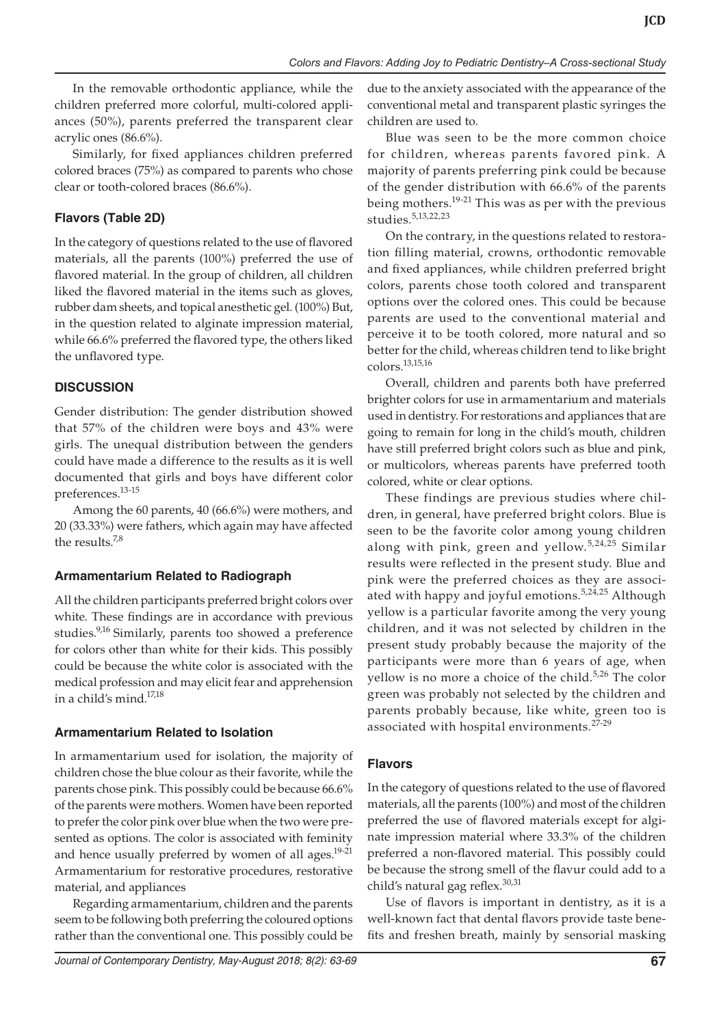In the removable orthodontic appliance, while the children preferred more colorful, multi-colored appliances (50%), parents preferred the transparent clear acrylic ones (86.6%).

Similarly, for fixed appliances children preferred colored braces (75%) as compared to parents who chose clear or tooth-colored braces (86.6%).

## **Flavors (Table 2D)**

In the category of questions related to the use of flavored materials, all the parents (100%) preferred the use of flavored material. In the group of children, all children liked the flavored material in the items such as gloves, rubber dam sheets, and topical anesthetic gel. (100%) But, in the question related to alginate impression material, while 66.6% preferred the flavored type, the others liked the unflavored type.

## **DISCUSSION**

Gender distribution: The gender distribution showed that 57% of the children were boys and 43% were girls. The unequal distribution between the genders could have made a difference to the results as it is well documented that girls and boys have different color preferences.13-15

Among the 60 parents, 40 (66.6%) were mothers, and 20 (33.33%) were fathers, which again may have affected the results.<sup>7,8</sup>

## **Armamentarium Related to Radiograph**

All the children participants preferred bright colors over white. These findings are in accordance with previous studies.<sup>9,16</sup> Similarly, parents too showed a preference for colors other than white for their kids. This possibly could be because the white color is associated with the medical profession and may elicit fear and apprehension in a child's mind.17,18

## **Armamentarium Related to Isolation**

In armamentarium used for isolation, the majority of children chose the blue colour as their favorite, while the parents chose pink. This possibly could be because 66.6% of the parents were mothers. Women have been reported to prefer the color pink over blue when the two were presented as options. The color is associated with feminity and hence usually preferred by women of all ages.<sup>19-21</sup> Armamentarium for restorative procedures, restorative material, and appliances

Regarding armamentarium, children and the parents seem to be following both preferring the coloured options rather than the conventional one. This possibly could be

due to the anxiety associated with the appearance of the conventional metal and transparent plastic syringes the children are used to.

Blue was seen to be the more common choice for children, whereas parents favored pink. A majority of parents preferring pink could be because of the gender distribution with 66.6% of the parents being mothers.<sup>19-21</sup> This was as per with the previous studies.5,13,22,23

On the contrary, in the questions related to restoration filling material, crowns, orthodontic removable and fixed appliances, while children preferred bright colors, parents chose tooth colored and transparent options over the colored ones. This could be because parents are used to the conventional material and perceive it to be tooth colored, more natural and so better for the child, whereas children tend to like bright colors.13,15,16

Overall, children and parents both have preferred brighter colors for use in armamentarium and materials used in dentistry. For restorations and appliances that are going to remain for long in the child's mouth, children have still preferred bright colors such as blue and pink, or multicolors, whereas parents have preferred tooth colored, white or clear options.

These findings are previous studies where children, in general, have preferred bright colors. Blue is seen to be the favorite color among young children along with pink, green and yellow.<sup>5,24,25</sup> Similar results were reflected in the present study. Blue and pink were the preferred choices as they are associated with happy and joyful emotions.<sup>5,24,25</sup> Although yellow is a particular favorite among the very young children, and it was not selected by children in the present study probably because the majority of the participants were more than 6 years of age, when yellow is no more a choice of the child.<sup>5,26</sup> The color green was probably not selected by the children and parents probably because, like white, green too is associated with hospital environments.<sup>27-29</sup>

## **Flavors**

In the category of questions related to the use of flavored materials, all the parents (100%) and most of the children preferred the use of flavored materials except for alginate impression material where 33.3% of the children preferred a non-flavored material. This possibly could be because the strong smell of the flavur could add to a child's natural gag reflex.<sup>30,31</sup>

Use of flavors is important in dentistry, as it is a well-known fact that dental flavors provide taste benefits and freshen breath, mainly by sensorial masking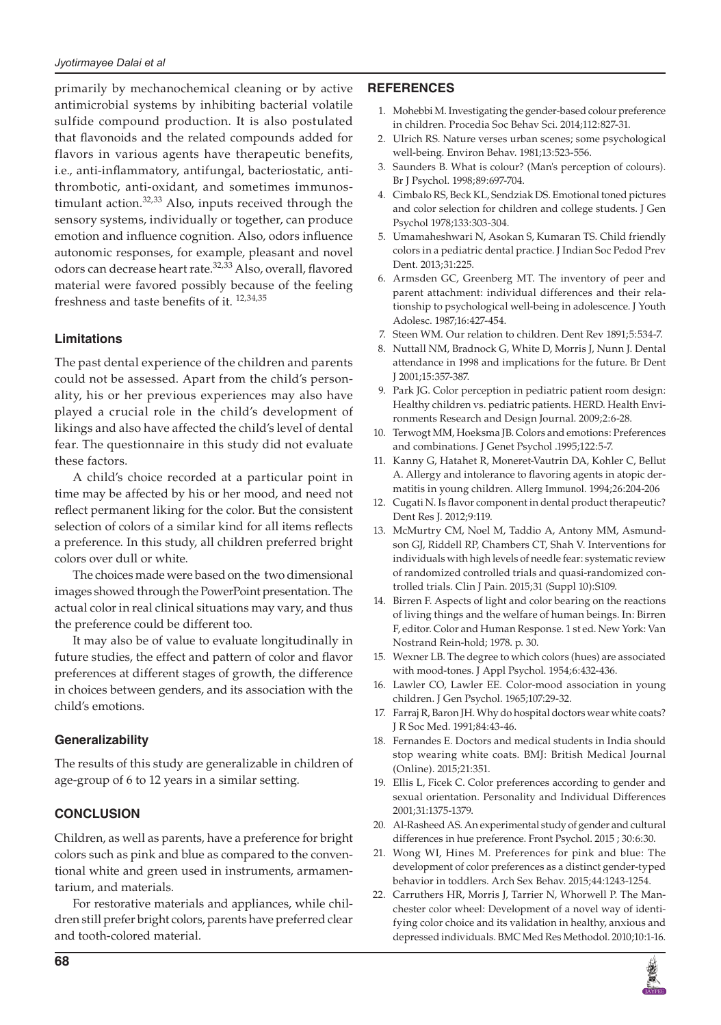primarily by mechanochemical cleaning or by active antimicrobial systems by inhibiting bacterial volatile sulfide compound production. It is also postulated that flavonoids and the related compounds added for flavors in various agents have therapeutic benefits, i.e., anti-inflammatory, antifungal, bacteriostatic, antithrombotic, anti-oxidant, and sometimes immunostimulant action.<sup>32,33</sup> Also, inputs received through the sensory systems, individually or together, can produce emotion and influence cognition. Also, odors influence autonomic responses, for example, pleasant and novel odors can decrease heart rate.<sup>32,33</sup> Also, overall, flavored material were favored possibly because of the feeling freshness and taste benefits of it.  $12,34,35$ 

## **Limitations**

The past dental experience of the children and parents could not be assessed. Apart from the child's personality, his or her previous experiences may also have played a crucial role in the child's development of likings and also have affected the child's level of dental fear. The questionnaire in this study did not evaluate these factors.

A child's choice recorded at a particular point in time may be affected by his or her mood, and need not reflect permanent liking for the color. But the consistent selection of colors of a similar kind for all items reflects a preference. In this study, all children preferred bright colors over dull or white.

The choices made were based on the two dimensional images showed through the PowerPoint presentation. The actual color in real clinical situations may vary, and thus the preference could be different too.

It may also be of value to evaluate longitudinally in future studies, the effect and pattern of color and flavor preferences at different stages of growth, the difference in choices between genders, and its association with the child's emotions.

#### **Generalizability**

The results of this study are generalizable in children of age-group of 6 to 12 years in a similar setting.

## **CONCLUSION**

Children, as well as parents, have a preference for bright colors such as pink and blue as compared to the conventional white and green used in instruments, armamentarium, and materials.

For restorative materials and appliances, while children still prefer bright colors, parents have preferred clear and tooth-colored material.

#### **REFERENCES**

- 1. Mohebbi M. Investigating the gender-based colour preference in children. Procedia Soc Behav Sci. 2014;112:827-31.
- 2. Ulrich RS. Nature verses urban scenes; some psychological well-being. Environ Behav. 1981;13:523-556.
- 3. Saunders B. What is colour? (Man's perception of colours). Br J Psychol. 1998;89:697-704.
- 4. Cimbalo RS, Beck KL, Sendziak DS. Emotional toned pictures and color selection for children and college students. J Gen Psychol 1978;133:303-304.
- 5. Umamaheshwari N, Asokan S, Kumaran TS. Child friendly colors in a pediatric dental practice. J Indian Soc Pedod Prev Dent. 2013;31:225.
- 6. Armsden GC, Greenberg MT. The inventory of peer and parent attachment: individual differences and their relationship to psychological well-being in adolescence. J Youth Adolesc. 1987;16:427-454.
- 7. Steen WM. Our relation to children. Dent Rev 1891;5:534-7.
- 8. Nuttall NM, Bradnock G, White D, Morris J, Nunn J. Dental attendance in 1998 and implications for the future. Br Dent J 2001;15:357-387.
- 9. Park JG. Color perception in pediatric patient room design: Healthy children vs. pediatric patients. HERD. Health Environments Research and Design Journal. 2009;2:6-28.
- 10. Terwogt MM, Hoeksma JB. Colors and emotions: Preferences and combinations. J Genet Psychol .1995;122:5-7.
- 11. Kanny G, Hatahet R, Moneret-Vautrin DA, Kohler C, Bellut A. Allergy and intolerance to flavoring agents in atopic dermatitis in young children. Allerg Immunol. 1994;26:204-206
- 12. Cugati N. Is flavor component in dental product therapeutic? Dent Res J. 2012;9:119.
- 13. McMurtry CM, Noel M, Taddio A, Antony MM, Asmundson GJ, Riddell RP, Chambers CT, Shah V. Interventions for individuals with high levels of needle fear: systematic review of randomized controlled trials and quasi-randomized controlled trials. Clin J Pain. 2015;31 (Suppl 10):S109.
- 14. Birren F. Aspects of light and color bearing on the reactions of living things and the welfare of human beings. In: Birren F, editor. Color and Human Response. 1 st ed. New York: Van Nostrand Rein-hold; 1978. p. 30.
- 15. Wexner LB. The degree to which colors (hues) are associated with mood-tones. J Appl Psychol. 1954;6:432-436.
- 16. Lawler CO, Lawler EE. Color-mood association in young children. J Gen Psychol. 1965;107:29-32.
- 17. Farraj R, Baron JH. Why do hospital doctors wear white coats? J R Soc Med. 1991;84:43-46.
- 18. Fernandes E. Doctors and medical students in India should stop wearing white coats. BMJ: British Medical Journal (Online). 2015;21:351.
- 19. Ellis L, Ficek C. Color preferences according to gender and sexual orientation. Personality and Individual Differences 2001;31:1375-1379.
- 20. Al-Rasheed AS. An experimental study of gender and cultural differences in hue preference. Front Psychol. 2015 ; 30:6:30.
- 21. Wong WI, Hines M. Preferences for pink and blue: The development of color preferences as a distinct gender-typed behavior in toddlers. Arch Sex Behav. 2015;44:1243-1254.
- 22. Carruthers HR, Morris J, Tarrier N, Whorwell P. The Manchester color wheel: Development of a novel way of identifying color choice and its validation in healthy, anxious and depressed individuals. BMC Med Res Methodol. 2010;10:1-16.